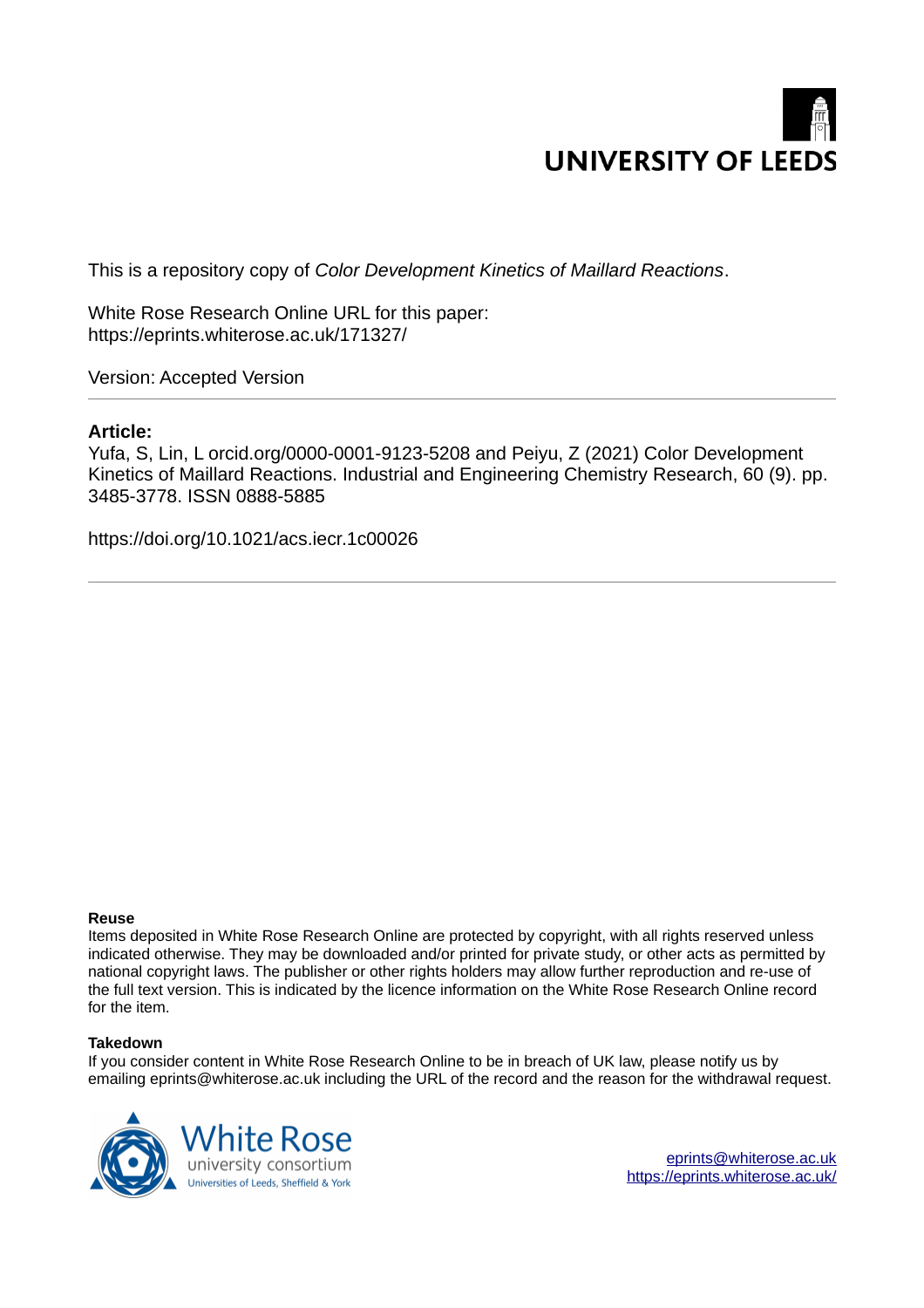

This is a repository copy of *Color Development Kinetics of Maillard Reactions*.

White Rose Research Online URL for this paper: https://eprints.whiterose.ac.uk/171327/

Version: Accepted Version

# **Article:**

Yufa, S, Lin, L orcid.org/0000-0001-9123-5208 and Peiyu, Z (2021) Color Development Kinetics of Maillard Reactions. Industrial and Engineering Chemistry Research, 60 (9). pp. 3485-3778. ISSN 0888-5885

https://doi.org/10.1021/acs.iecr.1c00026

# **Reuse**

Items deposited in White Rose Research Online are protected by copyright, with all rights reserved unless indicated otherwise. They may be downloaded and/or printed for private study, or other acts as permitted by national copyright laws. The publisher or other rights holders may allow further reproduction and re-use of the full text version. This is indicated by the licence information on the White Rose Research Online record for the item.

# **Takedown**

If you consider content in White Rose Research Online to be in breach of UK law, please notify us by emailing eprints@whiterose.ac.uk including the URL of the record and the reason for the withdrawal request.



eprints@whiterose.ac.uk https://eprints.whiterose.ac.uk/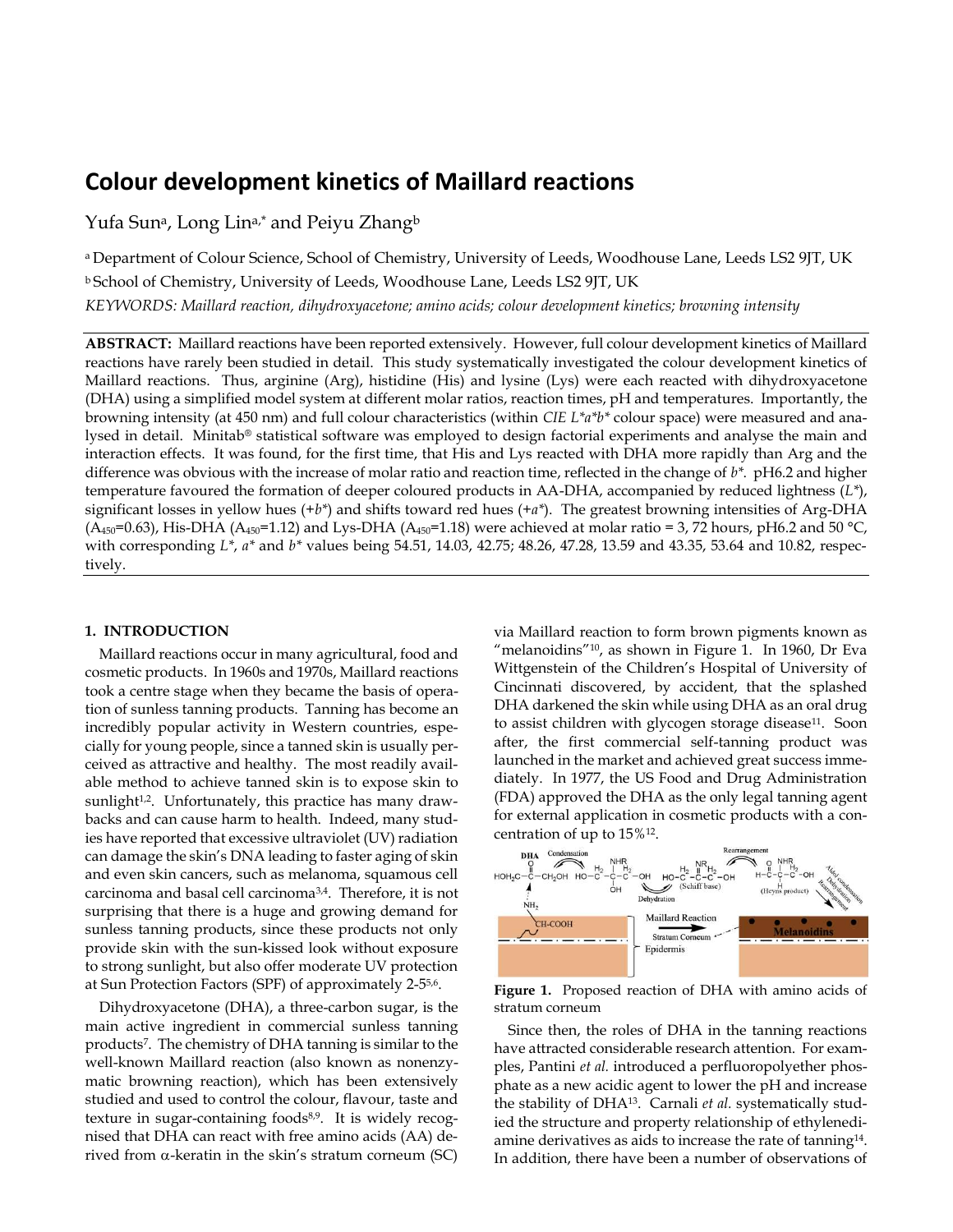# **Colour development kinetics of Maillard reactions**

Yufa Sun<sup>a</sup>, Long Lin<sup>a,\*</sup> and Peiyu Zhang<sup>b</sup>

a Department of Colour Science, School of Chemistry, University of Leeds, Woodhouse Lane, Leeds LS2 9JT, UK <sup>b</sup> School of Chemistry, University of Leeds, Woodhouse Lane, Leeds LS2 9JT, UK

*KEYWORDS: Maillard reaction, dihydroxyacetone; amino acids; colour development kinetics; browning intensity*

**ABSTRACT:** Maillard reactions have been reported extensively. However, full colour development kinetics of Maillard reactions have rarely been studied in detail. This study systematically investigated the colour development kinetics of Maillard reactions. Thus, arginine (Arg), histidine (His) and lysine (Lys) were each reacted with dihydroxyacetone (DHA) using a simplified model system at different molar ratios, reaction times, pH and temperatures. Importantly, the browning intensity (at 450 nm) and full colour characteristics (within *CIE L\*a\*b\** colour space) were measured and analysed in detail. Minitab® statistical software was employed to design factorial experiments and analyse the main and interaction effects. It was found, for the first time, that His and Lys reacted with DHA more rapidly than Arg and the difference was obvious with the increase of molar ratio and reaction time, reflected in the change of *b\**. pH6.2 and higher temperature favoured the formation of deeper coloured products in AA-DHA, accompanied by reduced lightness (*L\**), significant losses in yellow hues (+*b\**) and shifts toward red hues (+*a\**). The greatest browning intensities of Arg-DHA  $(A_{450}=0.63)$ , His-DHA ( $A_{450}=1.12$ ) and Lys-DHA ( $A_{450}=1.18$ ) were achieved at molar ratio = 3, 72 hours, pH6.2 and 50 °C, with corresponding *L\**, *a\** and *b\** values being 54.51, 14.03, 42.75; 48.26, 47.28, 13.59 and 43.35, 53.64 and 10.82, respectively.

## **1. INTRODUCTION**

Maillard reactions occur in many agricultural, food and cosmetic products. In 1960s and 1970s, Maillard reactions took a centre stage when they became the basis of operation of sunless tanning products. Tanning has become an incredibly popular activity in Western countries, especially for young people, since a tanned skin is usually perceived as attractive and healthy. The most readily available method to achieve tanned skin is to expose skin to sunlight<sup>1,2</sup>. Unfortunately, this practice has many drawbacks and can cause harm to health. Indeed, many studies have reported that excessive ultraviolet (UV) radiation can damage the skin's DNA leading to faster aging of skin and even skin cancers, such as melanoma, squamous cell carcinoma and basal cell carcinoma3,4. Therefore, it is not surprising that there is a huge and growing demand for sunless tanning products, since these products not only provide skin with the sun-kissed look without exposure to strong sunlight, but also offer moderate UV protection at Sun Protection Factors (SPF) of approximately 2-5<sup>5,6</sup>.

Dihydroxyacetone (DHA), a three-carbon sugar, is the main active ingredient in commercial sunless tanning products<sup>7</sup> . The chemistry of DHA tanning is similar to the well-known Maillard reaction (also known as nonenzymatic browning reaction), which has been extensively studied and used to control the colour, flavour, taste and texture in sugar-containing foods<sup>8,9</sup>. It is widely recognised that DHA can react with free amino acids (AA) derived from  $\alpha$ -keratin in the skin's stratum corneum (SC)

via Maillard reaction to form brown pigments known as "melanoidins"<sup>10</sup>, as shown in Figure 1. In 1960, Dr Eva Wittgenstein of the Children's Hospital of University of Cincinnati discovered, by accident, that the splashed DHA darkened the skin while using DHA as an oral drug to assist children with glycogen storage disease<sup>11</sup>. Soon after, the first commercial self-tanning product was launched in the market and achieved great success immediately. In 1977, the US Food and Drug Administration (FDA) approved the DHA as the only legal tanning agent for external application in cosmetic products with a concentration of up to 15%<sup>12</sup> .



**Figure 1.** Proposed reaction of DHA with amino acids of stratum corneum

Since then, the roles of DHA in the tanning reactions have attracted considerable research attention. For examples, Pantini *et al.* introduced a perfluoropolyether phosphate as a new acidic agent to lower the pH and increase the stability of DHA13. Carnali *et al.* systematically studied the structure and property relationship of ethylenediamine derivatives as aids to increase the rate of tanning $14$ . In addition, there have been a number of observations of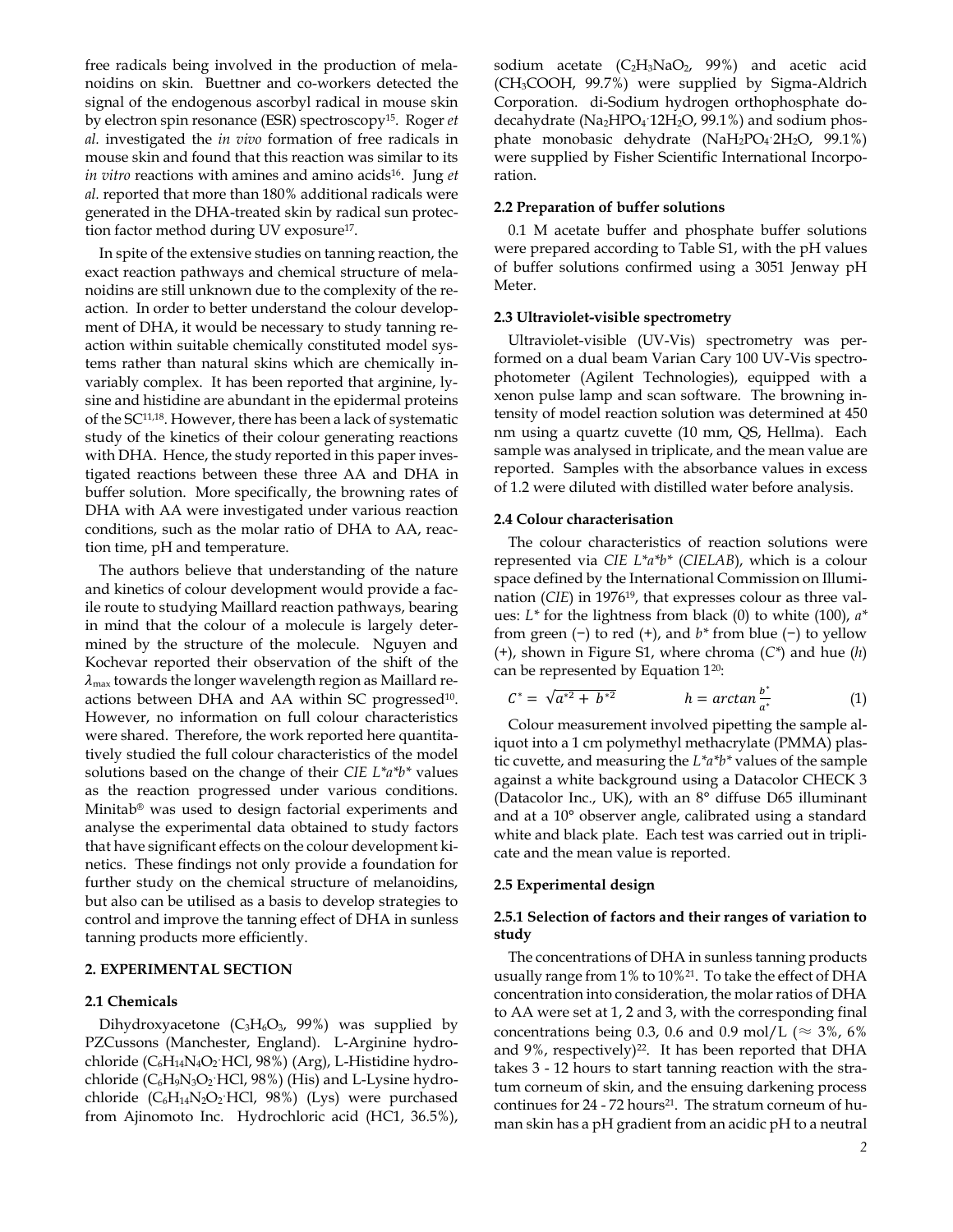free radicals being involved in the production of melanoidins on skin. Buettner and co-workers detected the signal of the endogenous ascorbyl radical in mouse skin by electron spin resonance (ESR) spectroscopy<sup>15</sup>. Roger *et al.* investigated the *in vivo* formation of free radicals in mouse skin and found that this reaction was similar to its *in vitro* reactions with amines and amino acids<sup>16</sup>. Jung *et al.* reported that more than 180% additional radicals were generated in the DHA-treated skin by radical sun protection factor method during UV exposure<sup>17</sup>.

In spite of the extensive studies on tanning reaction, the exact reaction pathways and chemical structure of melanoidins are still unknown due to the complexity of the reaction. In order to better understand the colour development of DHA, it would be necessary to study tanning reaction within suitable chemically constituted model systems rather than natural skins which are chemically invariably complex. It has been reported that arginine, lysine and histidine are abundant in the epidermal proteins of the SC11,18 . However, there has been a lack of systematic study of the kinetics of their colour generating reactions with DHA. Hence, the study reported in this paper investigated reactions between these three AA and DHA in buffer solution. More specifically, the browning rates of DHA with AA were investigated under various reaction conditions, such as the molar ratio of DHA to AA, reaction time, pH and temperature.

The authors believe that understanding of the nature and kinetics of colour development would provide a facile route to studying Maillard reaction pathways, bearing in mind that the colour of a molecule is largely determined by the structure of the molecule. Nguyen and Kochevar reported their observation of the shift of the  $\lambda_{\text{max}}$  towards the longer wavelength region as Maillard reactions between DHA and AA within SC progressed<sup>10</sup>. However, no information on full colour characteristics were shared. Therefore, the work reported here quantitatively studied the full colour characteristics of the model solutions based on the change of their *CIE L\*a\*b\** values as the reaction progressed under various conditions. Minitab® was used to design factorial experiments and analyse the experimental data obtained to study factors that have significant effects on the colour development kinetics. These findings not only provide a foundation for further study on the chemical structure of melanoidins, but also can be utilised as a basis to develop strategies to control and improve the tanning effect of DHA in sunless tanning products more efficiently.

#### **2. EXPERIMENTAL SECTION**

# **2.1 Chemicals**

Dihydroxyacetone ( $C_3H_6O_3$ , 99%) was supplied by PZCussons (Manchester, England). L-Arginine hydrochloride (C<sub>6</sub>H<sub>14</sub>N<sub>4</sub>O<sub>2</sub><sup>·</sup>HCl, 98%) (Arg), L-Histidine hydrochloride  $(C_6H_9N_3O_2$  HCl, 98%) (His) and L-Lysine hydrochloride  $(C_6H_{14}N_2O_2$ <sup>HCl</sup>, 98%) (Lys) were purchased from Ajinomoto Inc. Hydrochloric acid (HC1, 36.5%),

sodium acetate  $(C_2H_3NaO_2, 99%)$  and acetic acid (CH3COOH, 99.7%) were supplied by Sigma-Aldrich Corporation. di-Sodium hydrogen orthophosphate dodecahydrate (Na<sub>2</sub>HPO<sub>4</sub><sup>·</sup>12H<sub>2</sub>O, 99.1%) and sodium phosphate monobasic dehydrate  $(NaH<sub>2</sub>PO<sub>4</sub>·2H<sub>2</sub>O$ , 99.1%) were supplied by Fisher Scientific International Incorporation.

## **2.2 Preparation of buffer solutions**

0.1 M acetate buffer and phosphate buffer solutions were prepared according to Table S1, with the pH values of buffer solutions confirmed using a 3051 Jenway pH Meter.

## **2.3 Ultraviolet-visible spectrometry**

Ultraviolet-visible (UV-Vis) spectrometry was performed on a dual beam Varian Cary 100 UV-Vis spectrophotometer (Agilent Technologies), equipped with a xenon pulse lamp and scan software. The browning intensity of model reaction solution was determined at 450 nm using a quartz cuvette (10 mm, QS, Hellma). Each sample was analysed in triplicate, and the mean value are reported. Samples with the absorbance values in excess of 1.2 were diluted with distilled water before analysis.

## **2.4 Colour characterisation**

The colour characteristics of reaction solutions were represented via *CIE L\*a\*b\** (*CIELAB*), which is a colour space defined by the International Commission on Illumination (*CIE*) in 197619, that expresses colour as three values: *L\** for the lightness from black (0) to white (100), *a\** from green (−) to red (+), and *b\** from blue (−) to yellow (+), shown in Figure S1, where chroma (*C\**) and hue (*h*) can be represented by Equation 1<sup>20</sup>:

$$
C^* = \sqrt{a^{*2} + b^{*2}} \qquad \qquad h = \arctan \frac{b^*}{a^*} \qquad (1)
$$

Colour measurement involved pipetting the sample aliquot into a 1 cm polymethyl methacrylate (PMMA) plastic cuvette, and measuring the *L\*a\*b\** values of the sample against a white background using a Datacolor CHECK 3 (Datacolor Inc., UK), with an 8° diffuse D65 illuminant and at a 10° observer angle, calibrated using a standard white and black plate. Each test was carried out in triplicate and the mean value is reported.

#### **2.5 Experimental design**

# **2.5.1 Selection of factors and their ranges of variation to study**

The concentrations of DHA in sunless tanning products usually range from 1% to 10%<sup>21</sup>. To take the effect of DHA concentration into consideration, the molar ratios of DHA to AA were set at 1, 2 and 3, with the corresponding final concentrations being 0.3, 0.6 and 0.9 mol/L ( $\approx$  3%, 6% and 9%, respectively)<sup>22</sup>. It has been reported that DHA takes 3 - 12 hours to start tanning reaction with the stratum corneum of skin, and the ensuing darkening process continues for 24 - 72 hours<sup>21</sup>. The stratum corneum of human skin has a pH gradient from an acidic pH to a neutral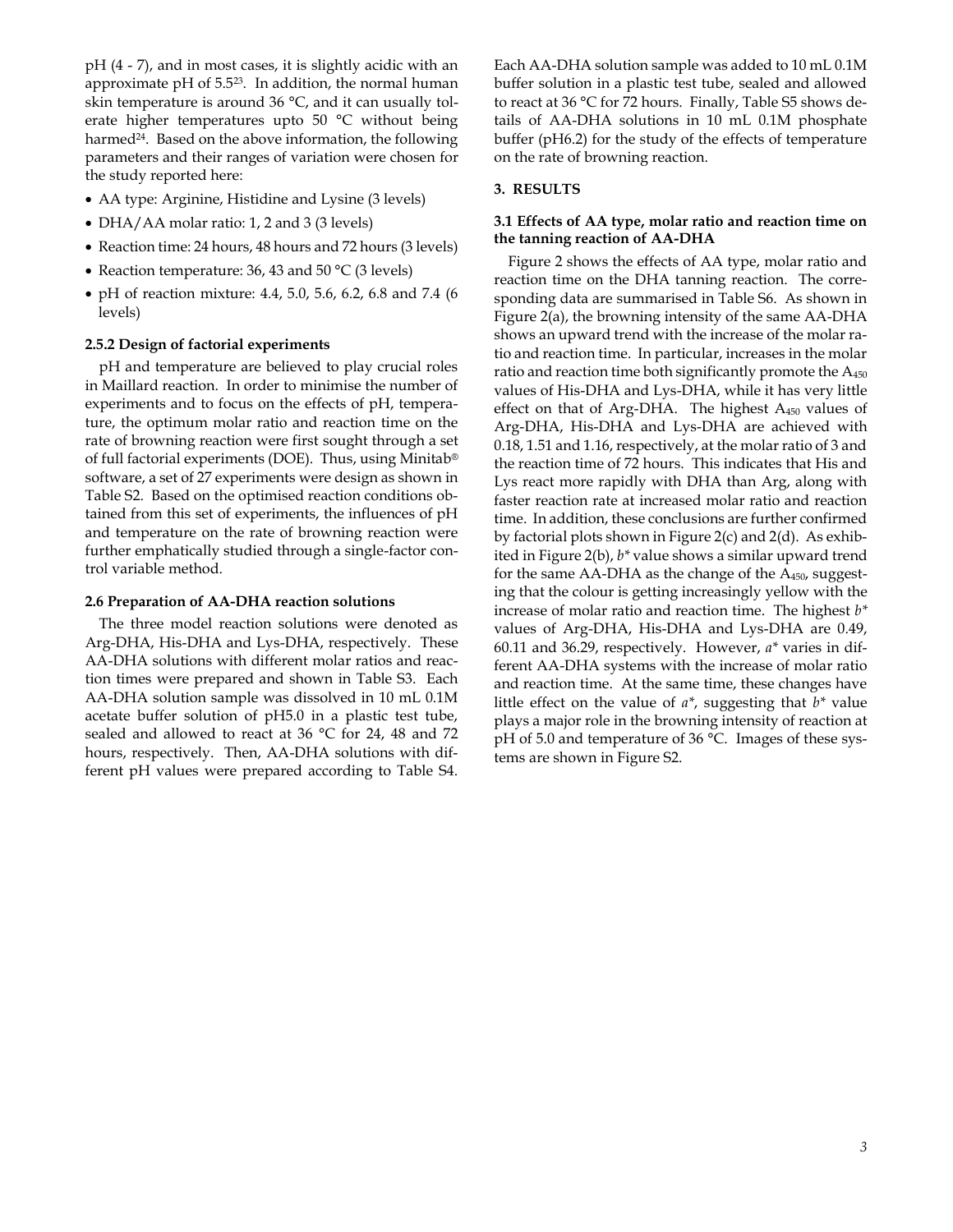pH (4 - 7), and in most cases, it is slightly acidic with an approximate  $pH$  of 5.5<sup>23</sup>. In addition, the normal human skin temperature is around 36 °C, and it can usually tolerate higher temperatures upto 50 °C without being harmed<sup>24</sup>. Based on the above information, the following parameters and their ranges of variation were chosen for the study reported here:

- AA type: Arginine, Histidine and Lysine (3 levels)
- DHA/AA molar ratio: 1, 2 and 3 (3 levels)
- Reaction time: 24 hours, 48 hours and 72 hours (3 levels)
- Reaction temperature: 36, 43 and 50 °C (3 levels)
- pH of reaction mixture: 4.4, 5.0, 5.6, 6.2, 6.8 and 7.4 (6 levels)

## **2.5.2 Design of factorial experiments**

pH and temperature are believed to play crucial roles in Maillard reaction. In order to minimise the number of experiments and to focus on the effects of pH, temperature, the optimum molar ratio and reaction time on the rate of browning reaction were first sought through a set of full factorial experiments (DOE). Thus, using Minitab® software, a set of 27 experiments were design as shown in Table S2. Based on the optimised reaction conditions obtained from this set of experiments, the influences of pH and temperature on the rate of browning reaction were further emphatically studied through a single-factor control variable method.

## **2.6 Preparation of AA-DHA reaction solutions**

The three model reaction solutions were denoted as Arg-DHA, His-DHA and Lys-DHA, respectively. These AA-DHA solutions with different molar ratios and reaction times were prepared and shown in Table S3. Each AA-DHA solution sample was dissolved in 10 mL 0.1M acetate buffer solution of pH5.0 in a plastic test tube, sealed and allowed to react at 36 °C for 24, 48 and 72 hours, respectively. Then, AA-DHA solutions with different pH values were prepared according to Table S4.

Each AA-DHA solution sample was added to 10 mL 0.1M buffer solution in a plastic test tube, sealed and allowed to react at 36 °C for 72 hours. Finally, Table S5 shows details of AA-DHA solutions in 10 mL 0.1M phosphate buffer (pH6.2) for the study of the effects of temperature on the rate of browning reaction.

## **3. RESULTS**

## **3.1 Effects of AA type, molar ratio and reaction time on the tanning reaction of AA-DHA**

Figure 2 shows the effects of AA type, molar ratio and reaction time on the DHA tanning reaction. The corresponding data are summarised in Table S6. As shown in Figure 2(a), the browning intensity of the same AA-DHA shows an upward trend with the increase of the molar ratio and reaction time. In particular, increases in the molar ratio and reaction time both significantly promote the  $A_{450}$ values of His-DHA and Lys-DHA, while it has very little effect on that of Arg-DHA. The highest A450 values of Arg-DHA, His-DHA and Lys-DHA are achieved with 0.18, 1.51 and 1.16, respectively, at the molar ratio of 3 and the reaction time of 72 hours. This indicates that His and Lys react more rapidly with DHA than Arg, along with faster reaction rate at increased molar ratio and reaction time. In addition, these conclusions are further confirmed by factorial plots shown in Figure 2(c) and 2(d). As exhibited in Figure 2(b), *b\** value shows a similar upward trend for the same  $AA$ -DHA as the change of the  $A_{450}$ , suggesting that the colour is getting increasingly yellow with the increase of molar ratio and reaction time. The highest *b\** values of Arg-DHA, His-DHA and Lys-DHA are 0.49, 60.11 and 36.29, respectively. However, *a\** varies in different AA-DHA systems with the increase of molar ratio and reaction time. At the same time, these changes have little effect on the value of *a\**, suggesting that *b\** value plays a major role in the browning intensity of reaction at pH of 5.0 and temperature of 36 °C. Images of these systems are shown in Figure S2.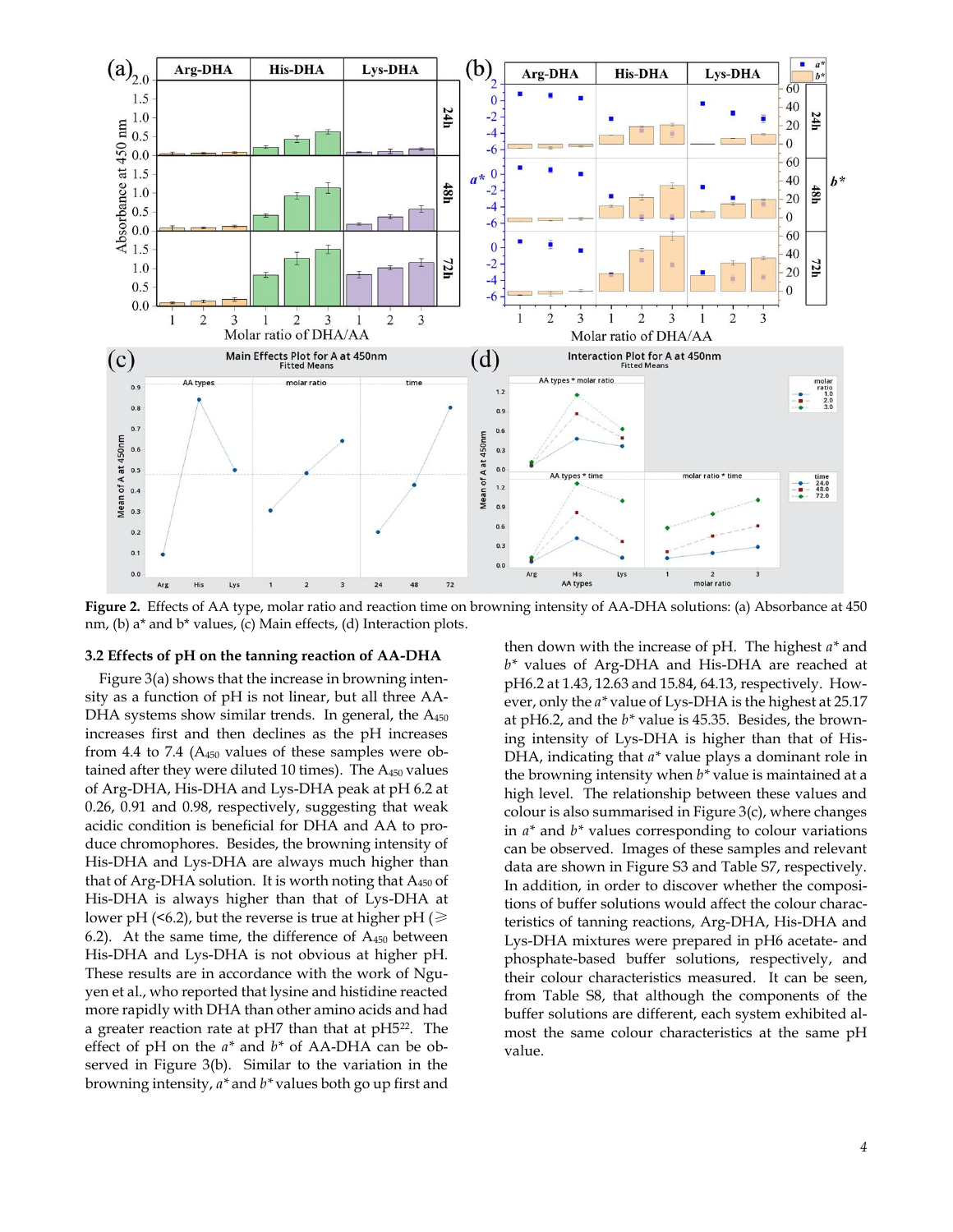

**Figure 2.** Effects of AA type, molar ratio and reaction time on browning intensity of AA-DHA solutions: (a) Absorbance at 450 nm, (b) a\* and b\* values, (c) Main effects, (d) Interaction plots.

#### **3.2 Effects of pH on the tanning reaction of AA-DHA**

Figure 3(a) shows that the increase in browning intensity as a function of pH is not linear, but all three AA-DHA systems show similar trends. In general, the A<sub>450</sub> increases first and then declines as the pH increases from 4.4 to 7.4 (A450 values of these samples were obtained after they were diluted 10 times). The  $A_{450}$  values of Arg-DHA, His-DHA and Lys-DHA peak at pH 6.2 at 0.26, 0.91 and 0.98, respectively, suggesting that weak acidic condition is beneficial for DHA and AA to produce chromophores. Besides, the browning intensity of His-DHA and Lys-DHA are always much higher than that of Arg-DHA solution. It is worth noting that  $A_{450}$  of His-DHA is always higher than that of Lys-DHA at lower pH (<6.2), but the reverse is true at higher pH ( $\geq$ 6.2). At the same time, the difference of  $A_{450}$  between His-DHA and Lys-DHA is not obvious at higher pH. These results are in accordance with the work of Nguyen et al., who reported that lysine and histidine reacted more rapidly with DHA than other amino acids and had a greater reaction rate at pH7 than that at pH5<sup>22</sup>. The effect of pH on the *a\** and *b\** of AA-DHA can be observed in Figure 3(b). Similar to the variation in the browning intensity, *a\** and *b\** values both go up first and

then down with the increase of pH. The highest *a\** and *b\** values of Arg-DHA and His-DHA are reached at pH6.2 at 1.43, 12.63 and 15.84, 64.13, respectively. However, only the *a\** value of Lys-DHA is the highest at 25.17 at pH6.2, and the *b\** value is 45.35. Besides, the browning intensity of Lys-DHA is higher than that of His-DHA, indicating that *a\** value plays a dominant role in the browning intensity when *b\** value is maintained at a high level. The relationship between these values and colour is also summarised in Figure 3(c), where changes in *a\** and *b\** values corresponding to colour variations can be observed. Images of these samples and relevant data are shown in Figure S3 and Table S7, respectively. In addition, in order to discover whether the compositions of buffer solutions would affect the colour characteristics of tanning reactions, Arg-DHA, His-DHA and Lys-DHA mixtures were prepared in pH6 acetate- and phosphate-based buffer solutions, respectively, and their colour characteristics measured. It can be seen, from Table S8, that although the components of the buffer solutions are different, each system exhibited almost the same colour characteristics at the same pH value.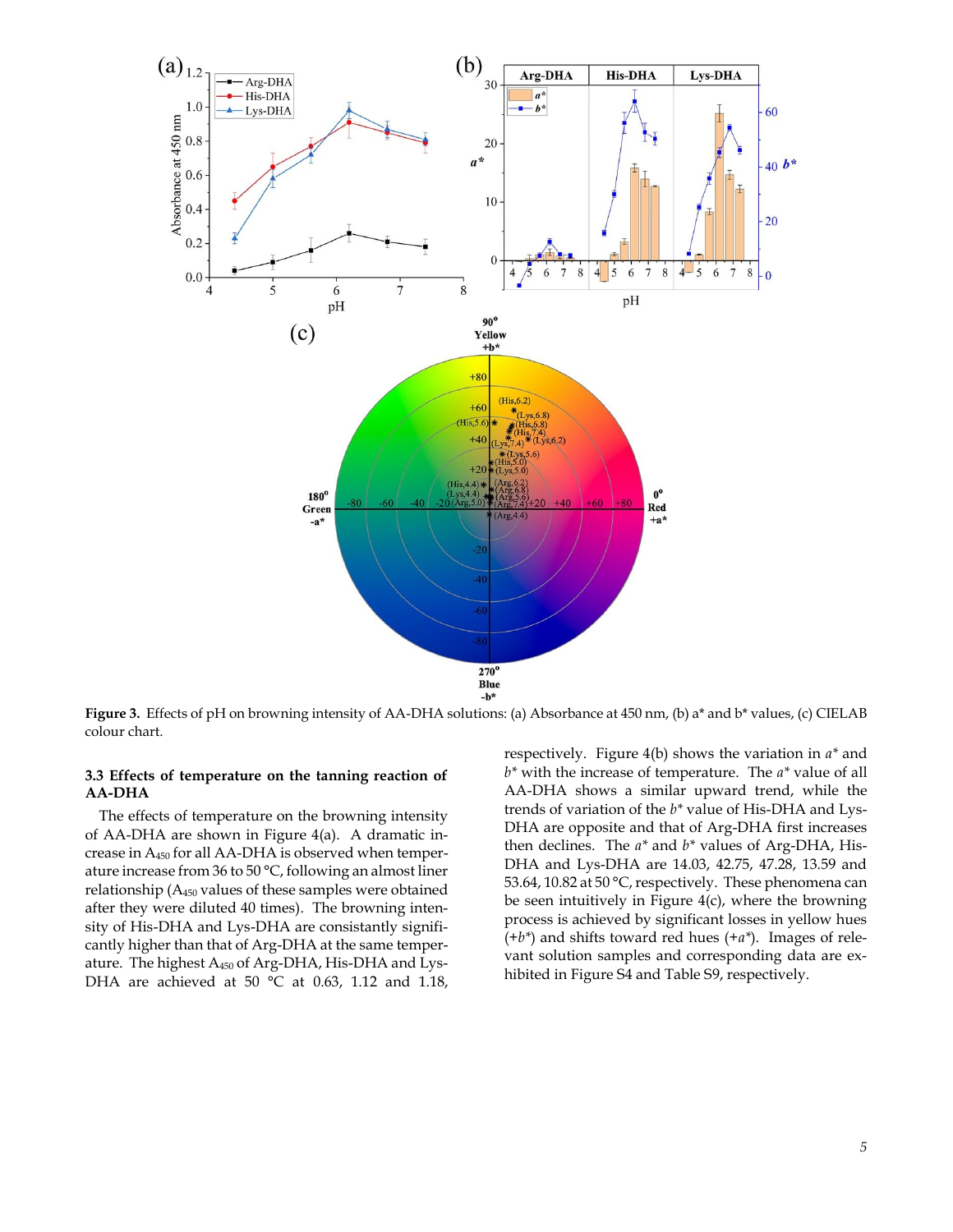

**Figure 3.** Effects of pH on browning intensity of AA-DHA solutions: (a) Absorbance at 450 nm, (b) a\* and b\* values, (c) CIELAB colour chart.

# **3.3 Effects of temperature on the tanning reaction of AA-DHA**

The effects of temperature on the browning intensity of AA-DHA are shown in Figure 4(a). A dramatic increase in A450 for all AA-DHA is observed when temperature increase from 36 to 50 °C, following an almost liner relationship (A450 values of these samples were obtained after they were diluted 40 times). The browning intensity of His-DHA and Lys-DHA are consistantly significantly higher than that of Arg-DHA at the same temperature. The highest A450 of Arg-DHA, His-DHA and Lys-DHA are achieved at 50 °C at 0.63, 1.12 and 1.18,

respectively. Figure 4(b) shows the variation in *a\** and *b\** with the increase of temperature. The *a\** value of all AA-DHA shows a similar upward trend, while the trends of variation of the *b\** value of His-DHA and Lys-DHA are opposite and that of Arg-DHA first increases then declines. The *a\** and *b\** values of Arg-DHA, His-DHA and Lys-DHA are 14.03, 42.75, 47.28, 13.59 and 53.64, 10.82 at 50 °C, respectively. These phenomena can be seen intuitively in Figure 4(c), where the browning process is achieved by significant losses in yellow hues (+*b\**) and shifts toward red hues (+*a\**). Images of relevant solution samples and corresponding data are exhibited in Figure S4 and Table S9, respectively.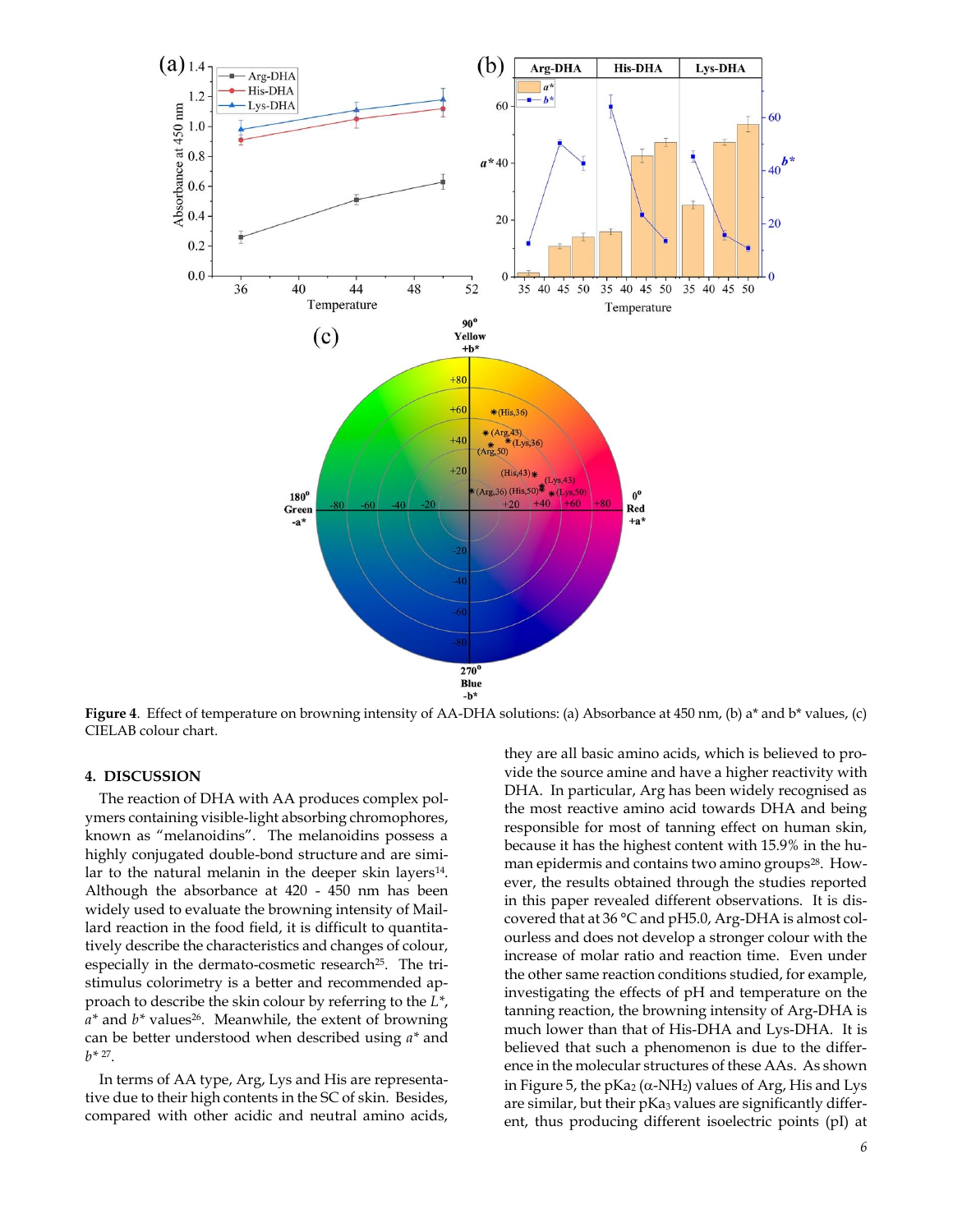

**Figure 4**. Effect of temperature on browning intensity of AA-DHA solutions: (a) Absorbance at 450 nm, (b) a\* and b\* values, (c) CIELAB colour chart.

## **4. DISCUSSION**

The reaction of DHA with AA produces complex polymers containing visible-light absorbing chromophores, known as "melanoidins". The melanoidins possess a highly conjugated double-bond structure and are similar to the natural melanin in the deeper skin layers<sup>14</sup>. Although the absorbance at 420 - 450 nm has been widely used to evaluate the browning intensity of Maillard reaction in the food field, it is difficult to quantitatively describe the characteristics and changes of colour, especially in the dermato-cosmetic research<sup>25</sup>. The tristimulus colorimetry is a better and recommended approach to describe the skin colour by referring to the *L\**, *a\** and *b\** values<sup>26</sup>. Meanwhile, the extent of browning can be better understood when described using *a\** and  $b^*$  <sup>27</sup>.

In terms of AA type, Arg, Lys and His are representative due to their high contents in the SC of skin. Besides, compared with other acidic and neutral amino acids,

they are all basic amino acids, which is believed to provide the source amine and have a higher reactivity with DHA. In particular, Arg has been widely recognised as the most reactive amino acid towards DHA and being responsible for most of tanning effect on human skin, because it has the highest content with 15.9% in the human epidermis and contains two amino groups<sup>28</sup>. However, the results obtained through the studies reported in this paper revealed different observations. It is discovered that at 36 °C and pH5.0, Arg-DHA is almost colourless and does not develop a stronger colour with the increase of molar ratio and reaction time. Even under the other same reaction conditions studied, for example, investigating the effects of pH and temperature on the tanning reaction, the browning intensity of Arg-DHA is much lower than that of His-DHA and Lys-DHA. It is believed that such a phenomenon is due to the difference in the molecular structures of these AAs. As shown in Figure 5, the pKa<sub>2</sub> ( $\alpha$ -NH<sub>2</sub>) values of Arg, His and Lys are similar, but their pKa3 values are significantly different, thus producing different isoelectric points (pI) at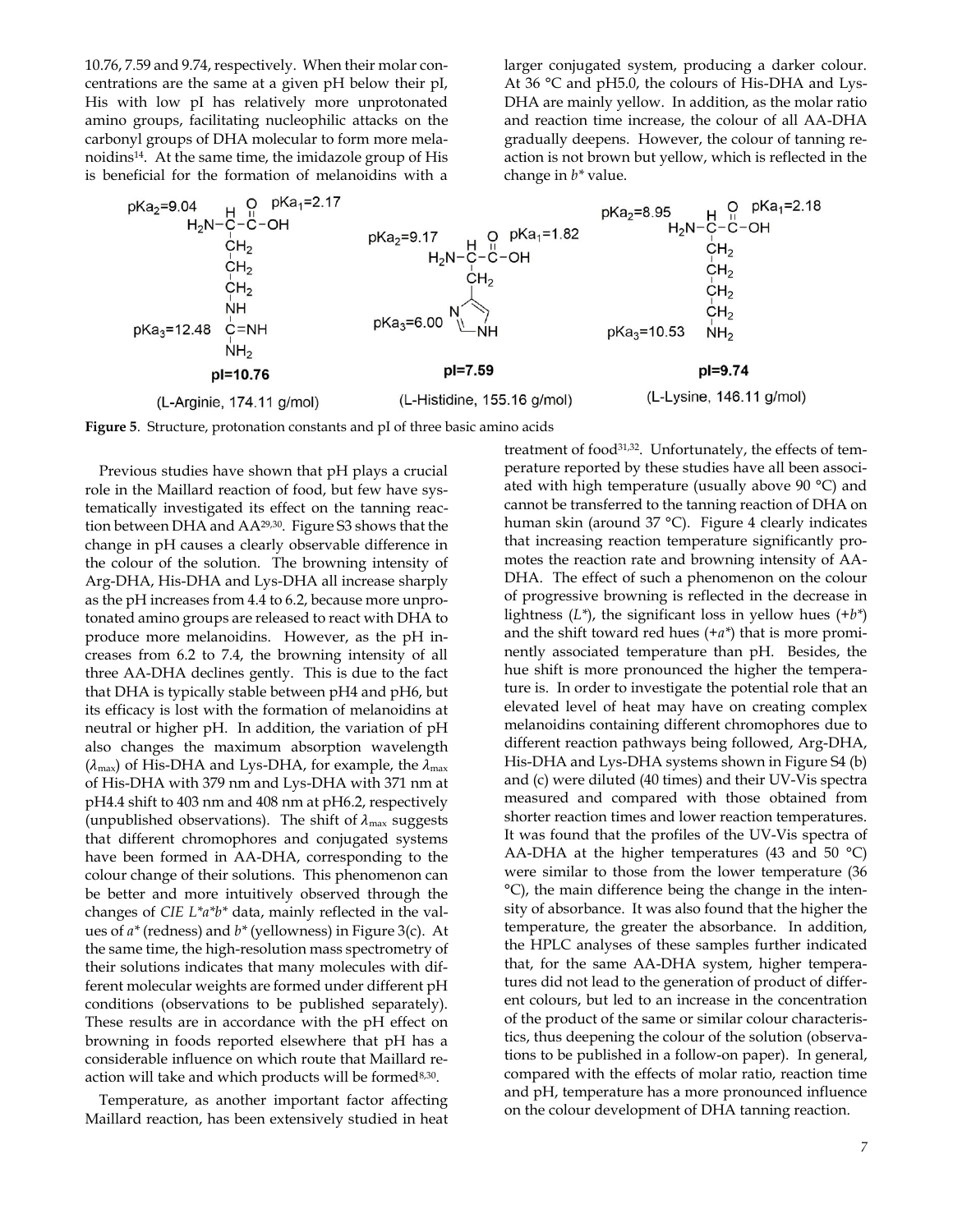10.76, 7.59 and 9.74, respectively. When their molar concentrations are the same at a given pH below their pI, His with low pI has relatively more unprotonated amino groups, facilitating nucleophilic attacks on the carbonyl groups of DHA molecular to form more melanoidins<sup>14</sup>. At the same time, the imidazole group of His is beneficial for the formation of melanoidins with a larger conjugated system, producing a darker colour. At 36 °C and pH5.0, the colours of His-DHA and Lys-DHA are mainly yellow. In addition, as the molar ratio and reaction time increase, the colour of all AA-DHA gradually deepens. However, the colour of tanning reaction is not brown but yellow, which is reflected in the change in *b\** value.



**Figure 5**. Structure, protonation constants and pI of three basic amino acids

Previous studies have shown that pH plays a crucial role in the Maillard reaction of food, but few have systematically investigated its effect on the tanning reaction between DHA and AA29,30. Figure S3 shows that the change in pH causes a clearly observable difference in the colour of the solution. The browning intensity of Arg-DHA, His-DHA and Lys-DHA all increase sharply as the pH increases from 4.4 to 6.2, because more unprotonated amino groups are released to react with DHA to produce more melanoidins. However, as the pH increases from 6.2 to 7.4, the browning intensity of all three AA-DHA declines gently. This is due to the fact that DHA is typically stable between pH4 and pH6, but its efficacy is lost with the formation of melanoidins at neutral or higher pH. In addition, the variation of pH also changes the maximum absorption wavelength  $(\lambda_{\text{max}})$  of His-DHA and Lys-DHA, for example, the  $\lambda_{\text{max}}$ of His-DHA with 379 nm and Lys-DHA with 371 nm at pH4.4 shift to 403 nm and 408 nm at pH6.2, respectively (unpublished observations). The shift of  $\lambda_{\text{max}}$  suggests that different chromophores and conjugated systems have been formed in AA-DHA, corresponding to the colour change of their solutions. This phenomenon can be better and more intuitively observed through the changes of *CIE L\*a\*b\** data, mainly reflected in the values of *a\** (redness) and *b\** (yellowness) in Figure 3(c). At the same time, the high-resolution mass spectrometry of their solutions indicates that many molecules with different molecular weights are formed under different pH conditions (observations to be published separately). These results are in accordance with the pH effect on browning in foods reported elsewhere that pH has a considerable influence on which route that Maillard reaction will take and which products will be formed<sup>8,30</sup>.

Temperature, as another important factor affecting Maillard reaction, has been extensively studied in heat treatment of food31,32. Unfortunately, the effects of temperature reported by these studies have all been associated with high temperature (usually above 90 °C) and cannot be transferred to the tanning reaction of DHA on human skin (around 37 °C). Figure 4 clearly indicates that increasing reaction temperature significantly promotes the reaction rate and browning intensity of AA-DHA. The effect of such a phenomenon on the colour of progressive browning is reflected in the decrease in lightness (*L\**), the significant loss in yellow hues (+*b\**) and the shift toward red hues (+*a\**) that is more prominently associated temperature than pH. Besides, the hue shift is more pronounced the higher the temperature is. In order to investigate the potential role that an elevated level of heat may have on creating complex melanoidins containing different chromophores due to different reaction pathways being followed, Arg-DHA, His-DHA and Lys-DHA systems shown in Figure S4 (b) and (c) were diluted (40 times) and their UV-Vis spectra measured and compared with those obtained from shorter reaction times and lower reaction temperatures. It was found that the profiles of the UV-Vis spectra of AA-DHA at the higher temperatures (43 and 50  $^{\circ}$ C) were similar to those from the lower temperature (36 °C), the main difference being the change in the intensity of absorbance. It was also found that the higher the temperature, the greater the absorbance. In addition, the HPLC analyses of these samples further indicated that, for the same AA-DHA system, higher temperatures did not lead to the generation of product of different colours, but led to an increase in the concentration of the product of the same or similar colour characteristics, thus deepening the colour of the solution (observations to be published in a follow-on paper). In general, compared with the effects of molar ratio, reaction time and pH, temperature has a more pronounced influence on the colour development of DHA tanning reaction.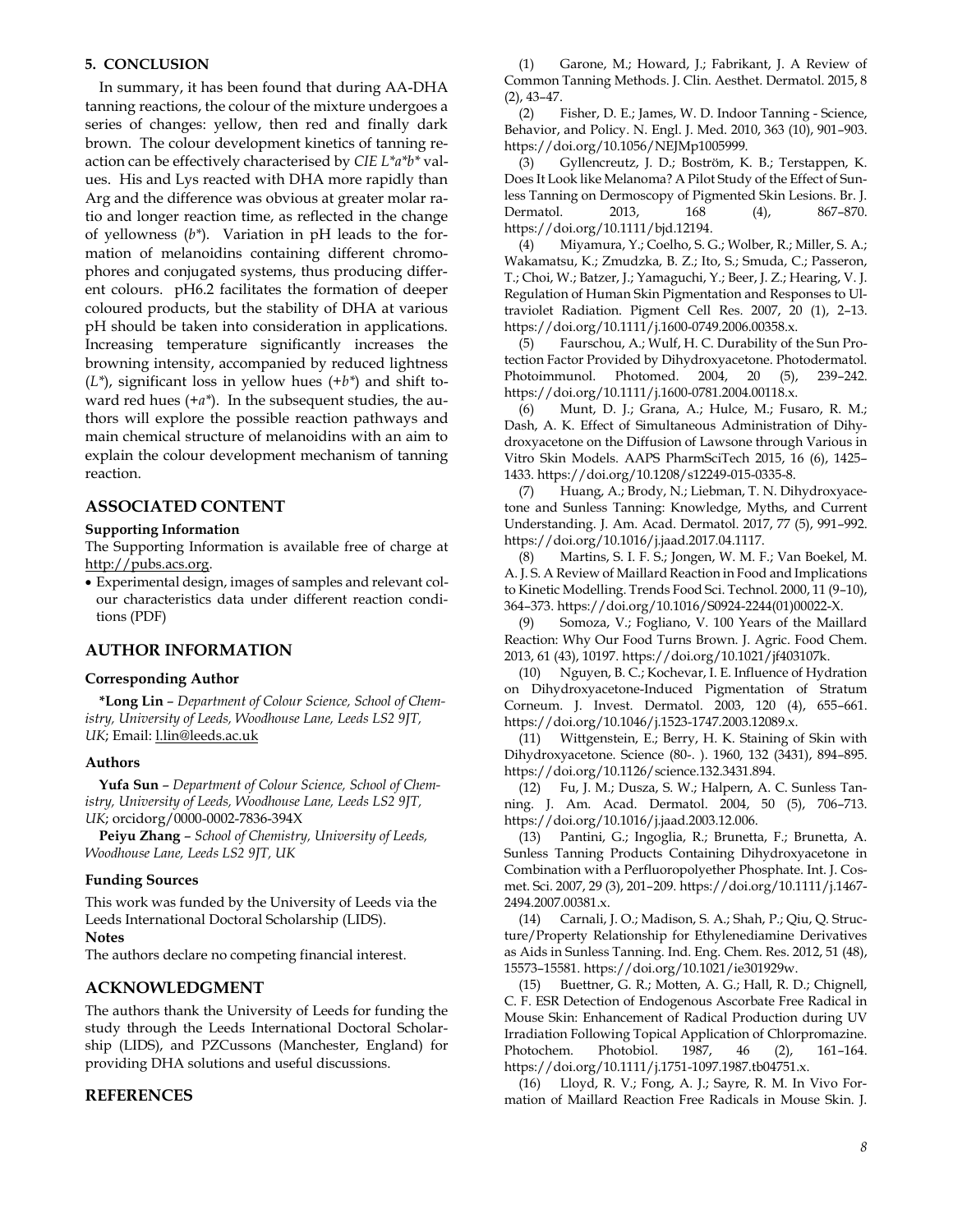# **5. CONCLUSION**

In summary, it has been found that during AA-DHA tanning reactions, the colour of the mixture undergoes a series of changes: yellow, then red and finally dark brown. The colour development kinetics of tanning reaction can be effectively characterised by *CIE L\*a\*b\** values. His and Lys reacted with DHA more rapidly than Arg and the difference was obvious at greater molar ratio and longer reaction time, as reflected in the change of yellowness (*b\**). Variation in pH leads to the formation of melanoidins containing different chromophores and conjugated systems, thus producing different colours. pH6.2 facilitates the formation of deeper coloured products, but the stability of DHA at various pH should be taken into consideration in applications. Increasing temperature significantly increases the browning intensity, accompanied by reduced lightness (*L\**), significant loss in yellow hues (+*b\**) and shift toward red hues (+*a\**). In the subsequent studies, the authors will explore the possible reaction pathways and main chemical structure of melanoidins with an aim to explain the colour development mechanism of tanning reaction.

# **ASSOCIATED CONTENT**

## **Supporting Information**

The Supporting Information is available free of charge at [http://pubs.acs.org.](http://pubs.acs.org/) 

• Experimental design, images of samples and relevant colour characteristics data under different reaction conditions (PDF)

# **AUTHOR INFORMATION**

## **Corresponding Author**

**\*Long Lin** – *Department of Colour Science, School of Chemistry, University of Leeds, Woodhouse Lane, Leeds LS2 9JT, UK*; Email: [l.lin@leeds.ac.uk](mailto:l.lin@leeds.ac.uk) 

## **Authors**

**Yufa Sun** – *Department of Colour Science, School of Chemistry, University of Leeds, Woodhouse Lane, Leeds LS2 9JT, UK*; orcidorg/0000-0002-7836-394X

**Peiyu Zhang** – *School of Chemistry, University of Leeds, Woodhouse Lane, Leeds LS2 9JT, UK*

#### **Funding Sources**

This work was funded by the University of Leeds via the Leeds International Doctoral Scholarship (LIDS).

# **Notes**

The authors declare no competing financial interest.

# **ACKNOWLEDGMENT**

The authors thank the University of Leeds for funding the study through the Leeds International Doctoral Scholarship (LIDS), and PZCussons (Manchester, England) for providing DHA solutions and useful discussions.

# **REFERENCES**

(1) Garone, M.; Howard, J.; Fabrikant, J. A Review of Common Tanning Methods. J. Clin. Aesthet. Dermatol. 2015, 8 (2), 43–47.

(2) Fisher, D. E.; James, W. D. Indoor Tanning - Science, Behavior, and Policy. N. Engl. J. Med. 2010, 363 (10), 901–903. https://doi.org/10.1056/NEJMp1005999.

(3) Gyllencreutz, J. D.; Boström, K. B.; Terstappen, K. Does It Look like Melanoma? A Pilot Study of the Effect of Sunless Tanning on Dermoscopy of Pigmented Skin Lesions. Br. J. Dermatol. 2013, 168 (4), 867–870. https://doi.org/10.1111/bjd.12194.

(4) Miyamura, Y.; Coelho, S. G.; Wolber, R.; Miller, S. A.; Wakamatsu, K.; Zmudzka, B. Z.; Ito, S.; Smuda, C.; Passeron, T.; Choi, W.; Batzer, J.; Yamaguchi, Y.; Beer, J. Z.; Hearing, V. J. Regulation of Human Skin Pigmentation and Responses to Ultraviolet Radiation. Pigment Cell Res. 2007, 20 (1), 2–13. https://doi.org/10.1111/j.1600-0749.2006.00358.x.

(5) Faurschou, A.; Wulf, H. C. Durability of the Sun Protection Factor Provided by Dihydroxyacetone. Photodermatol. Photoimmunol. Photomed. 2004, 20 (5), 239–242. https://doi.org/10.1111/j.1600-0781.2004.00118.x.

(6) Munt, D. J.; Grana, A.; Hulce, M.; Fusaro, R. M.; Dash, A. K. Effect of Simultaneous Administration of Dihydroxyacetone on the Diffusion of Lawsone through Various in Vitro Skin Models. AAPS PharmSciTech 2015, 16 (6), 1425– 1433. https://doi.org/10.1208/s12249-015-0335-8.

(7) Huang, A.; Brody, N.; Liebman, T. N. Dihydroxyacetone and Sunless Tanning: Knowledge, Myths, and Current Understanding. J. Am. Acad. Dermatol. 2017, 77 (5), 991–992. https://doi.org/10.1016/j.jaad.2017.04.1117.

(8) Martins, S. I. F. S.; Jongen, W. M. F.; Van Boekel, M. A. J. S. A Review of Maillard Reaction in Food and Implications to Kinetic Modelling. Trends Food Sci. Technol. 2000, 11 (9–10), 364–373. https://doi.org/10.1016/S0924-2244(01)00022-X.

(9) Somoza, V.; Fogliano, V. 100 Years of the Maillard Reaction: Why Our Food Turns Brown. J. Agric. Food Chem. 2013, 61 (43), 10197. https://doi.org/10.1021/jf403107k.

(10) Nguyen, B. C.; Kochevar, I. E. Influence of Hydration on Dihydroxyacetone-Induced Pigmentation of Stratum Corneum. J. Invest. Dermatol. 2003, 120 (4), 655–661. https://doi.org/10.1046/j.1523-1747.2003.12089.x.

(11) Wittgenstein, E.; Berry, H. K. Staining of Skin with Dihydroxyacetone. Science (80-. ). 1960, 132 (3431), 894–895. https://doi.org/10.1126/science.132.3431.894.

(12) Fu, J. M.; Dusza, S. W.; Halpern, A. C. Sunless Tanning. J. Am. Acad. Dermatol. 2004, 50 (5), 706–713. https://doi.org/10.1016/j.jaad.2003.12.006.

(13) Pantini, G.; Ingoglia, R.; Brunetta, F.; Brunetta, A. Sunless Tanning Products Containing Dihydroxyacetone in Combination with a Perfluoropolyether Phosphate. Int. J. Cosmet. Sci. 2007, 29 (3), 201–209. https://doi.org/10.1111/j.1467- 2494.2007.00381.x.

(14) Carnali, J. O.; Madison, S. A.; Shah, P.; Qiu, Q. Structure/Property Relationship for Ethylenediamine Derivatives as Aids in Sunless Tanning. Ind. Eng. Chem. Res. 2012, 51 (48), 15573–15581. https://doi.org/10.1021/ie301929w.

(15) Buettner, G. R.; Motten, A. G.; Hall, R. D.; Chignell, C. F. ESR Detection of Endogenous Ascorbate Free Radical in Mouse Skin: Enhancement of Radical Production during UV Irradiation Following Topical Application of Chlorpromazine. Photochem. Photobiol. 1987, 46 (2), 161–164. https://doi.org/10.1111/j.1751-1097.1987.tb04751.x.

(16) Lloyd, R. V.; Fong, A. J.; Sayre, R. M. In Vivo Formation of Maillard Reaction Free Radicals in Mouse Skin. J.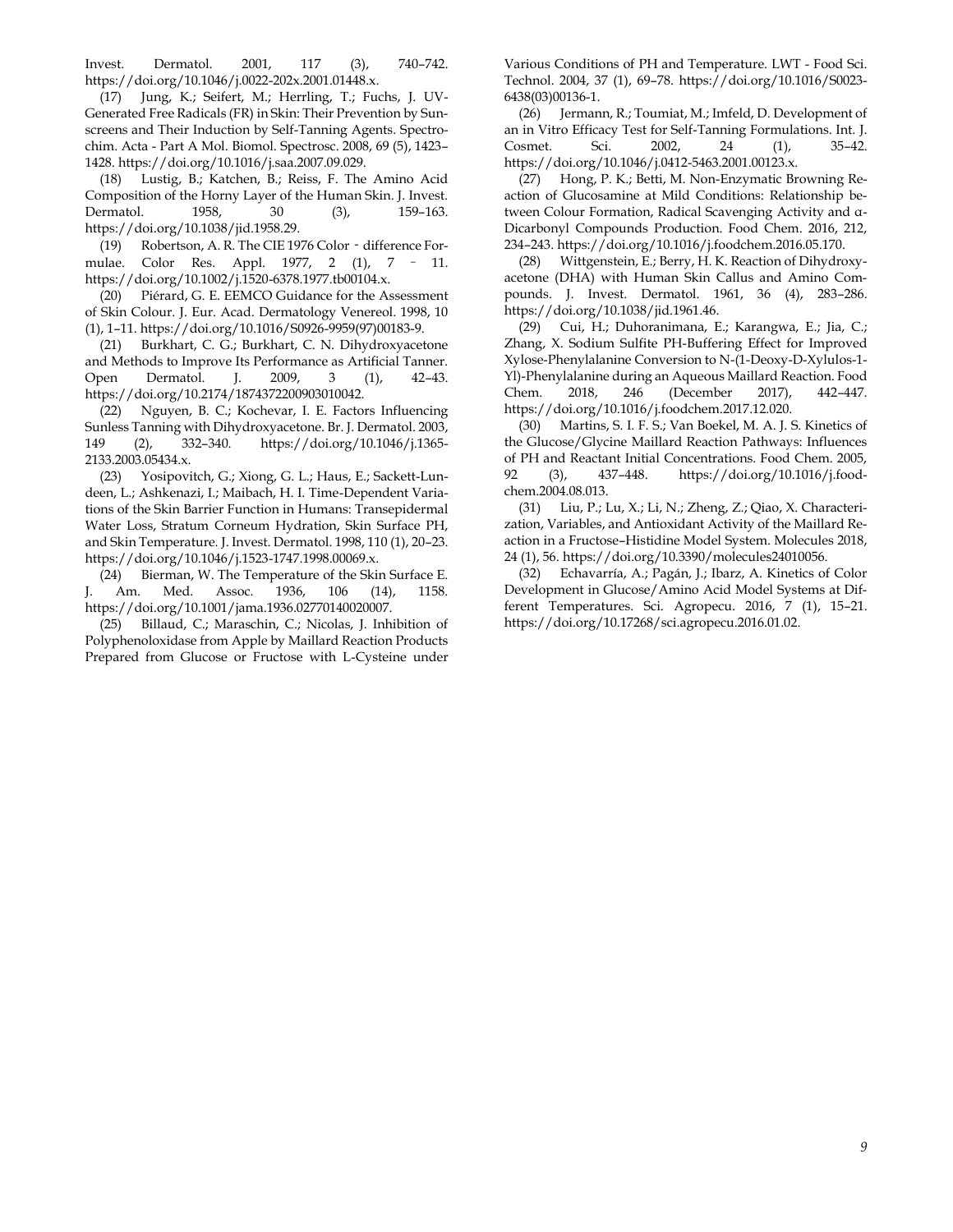Invest. Dermatol. 2001, 117 (3), 740–742. https://doi.org/10.1046/j.0022-202x.2001.01448.x.

(17) Jung, K.; Seifert, M.; Herrling, T.; Fuchs, J. UV-Generated Free Radicals (FR) in Skin: Their Prevention by Sunscreens and Their Induction by Self-Tanning Agents. Spectrochim. Acta - Part A Mol. Biomol. Spectrosc. 2008, 69 (5), 1423– 1428. https://doi.org/10.1016/j.saa.2007.09.029.

(18) Lustig, B.; Katchen, B.; Reiss, F. The Amino Acid Composition of the Horny Layer of the Human Skin. J. Invest. Dermatol. 1958, 30 (3), 159–163. https://doi.org/10.1038/jid.1958.29.

(19) Robertson, A. R. The CIE 1976 Color - difference Formulae. Color Res. Appl. 1977, 2 (1), 7 – 11. https://doi.org/10.1002/j.1520-6378.1977.tb00104.x.

(20) Piérard, G. E. EEMCO Guidance for the Assessment of Skin Colour. J. Eur. Acad. Dermatology Venereol. 1998, 10 (1), 1–11. https://doi.org/10.1016/S0926-9959(97)00183-9.

(21) Burkhart, C. G.; Burkhart, C. N. Dihydroxyacetone and Methods to Improve Its Performance as Artificial Tanner. Open Dermatol. J. 2009, 3 (1), 42–43. https://doi.org/10.2174/1874372200903010042.

(22) Nguyen, B. C.; Kochevar, I. E. Factors Influencing Sunless Tanning with Dihydroxyacetone. Br. J. Dermatol. 2003, 149 (2), 332–340. https://doi.org/10.1046/j.1365- 2133.2003.05434.x.

(23) Yosipovitch, G.; Xiong, G. L.; Haus, E.; Sackett-Lundeen, L.; Ashkenazi, I.; Maibach, H. I. Time-Dependent Variations of the Skin Barrier Function in Humans: Transepidermal Water Loss, Stratum Corneum Hydration, Skin Surface PH, and Skin Temperature. J. Invest. Dermatol. 1998, 110 (1), 20–23. https://doi.org/10.1046/j.1523-1747.1998.00069.x.

(24) Bierman, W. The Temperature of the Skin Surface E. J. Am. Med. Assoc. 1936, 106 (14), 1158. https://doi.org/10.1001/jama.1936.02770140020007.

(25) Billaud, C.; Maraschin, C.; Nicolas, J. Inhibition of Polyphenoloxidase from Apple by Maillard Reaction Products Prepared from Glucose or Fructose with L-Cysteine under Various Conditions of PH and Temperature. LWT - Food Sci. Technol. 2004, 37 (1), 69–78. https://doi.org/10.1016/S0023- 6438(03)00136-1.

(26) Jermann, R.; Toumiat, M.; Imfeld, D. Development of an in Vitro Efficacy Test for Self-Tanning Formulations. Int. J. Cosmet. Sci. 2002, 24 (1), 35–42. https://doi.org/10.1046/j.0412-5463.2001.00123.x.

(27) Hong, P. K.; Betti, M. Non-Enzymatic Browning Reaction of Glucosamine at Mild Conditions: Relationship between Colour Formation, Radical Scavenging Activity and α-Dicarbonyl Compounds Production. Food Chem. 2016, 212, 234–243. https://doi.org/10.1016/j.foodchem.2016.05.170.

(28) Wittgenstein, E.; Berry, H. K. Reaction of Dihydroxyacetone (DHA) with Human Skin Callus and Amino Compounds. J. Invest. Dermatol. 1961, 36 (4), 283–286. https://doi.org/10.1038/jid.1961.46.

(29) Cui, H.; Duhoranimana, E.; Karangwa, E.; Jia, C.; Zhang, X. Sodium Sulfite PH-Buffering Effect for Improved Xylose-Phenylalanine Conversion to N-(1-Deoxy-D-Xylulos-1- Yl)-Phenylalanine during an Aqueous Maillard Reaction. Food Chem. 2018, 246 (December 2017), 442–447. https://doi.org/10.1016/j.foodchem.2017.12.020.

(30) Martins, S. I. F. S.; Van Boekel, M. A. J. S. Kinetics of the Glucose/Glycine Maillard Reaction Pathways: Influences of PH and Reactant Initial Concentrations. Food Chem. 2005, 92 (3), 437–448. https://doi.org/10.1016/j.foodchem.2004.08.013.

(31) Liu, P.; Lu, X.; Li, N.; Zheng, Z.; Qiao, X. Characterization, Variables, and Antioxidant Activity of the Maillard Reaction in a Fructose–Histidine Model System. Molecules 2018, 24 (1), 56. https://doi.org/10.3390/molecules24010056.

(32) Echavarría, A.; Pagán, J.; Ibarz, A. Kinetics of Color Development in Glucose/Amino Acid Model Systems at Different Temperatures. Sci. Agropecu. 2016, 7 (1), 15–21. https://doi.org/10.17268/sci.agropecu.2016.01.02.